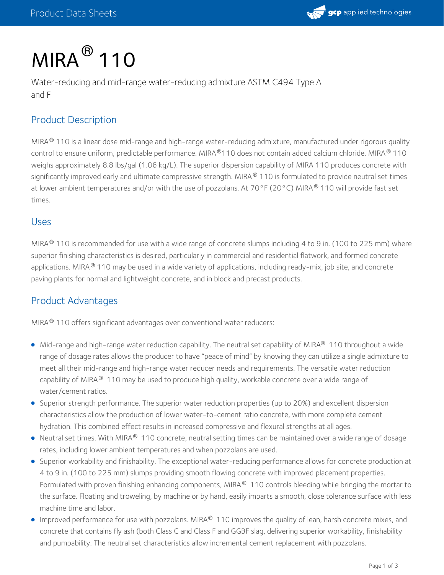

# $MIRA<sup>®</sup>$  110

Water-reducing and mid-range water-reducing admixture ASTM C494 Type A and F

### Product Description

MIRA® 110 is a linear dose mid-range and high-range water-reducing admixture, manufactured under rigorous quality control to ensure uniform, predictable performance. MIRA®110 does not contain added calcium chloride. MIRA® 110 weighs approximately 8.8 lbs/gal (1.06 kg/L). The superior dispersion capability of MIRA 110 produces concrete with significantly improved early and ultimate compressive strength. MIRA® 110 is formulated to provide neutral set times at lower ambient temperatures and/or with the use of pozzolans. At 70°F (20°C) MIRA® 110 will provide fast set times.

#### Uses

MIRA $^{\circledR}$  110 is recommended for use with a wide range of concrete slumps including 4 to 9 in. (100 to 225 mm) where superior finishing characteristics is desired, particularly in commercial and residential flatwork, and formed concrete applications. MIRA  $^\circledR$  110 may be used in a wide variety of applications, including ready-mix, job site, and concrete paving plants for normal and lightweight concrete, and in block and precast products.

#### Product Advantages

MIRA<sup>®</sup> 110 offers significant advantages over conventional water reducers:

- Mid-range and high-range water reduction capability. The neutral set capability of MIRA® 110 throughout a wide range of dosage rates allows the producer to have "peace of mind" by knowing they can utilize a single admixture to meet all their mid-range and high-range water reducer needs and requirements. The versatile water reduction capability of MIRA $^\circledR$  110 may be used to produce high quality, workable concrete over a wide range of water/cement ratios.
- Superior strength performance. The superior water reduction properties (up to 20%) and excellent dispersion characteristics allow the production of lower water-to-cement ratio concrete, with more complete cement hydration. This combined effect results in increased compressive and flexural strengths at all ages.
- Neutral set times. With MIRA $^\circledR$  110 concrete, neutral setting times can be maintained over a wide range of dosage rates, including lower ambient temperatures and when pozzolans are used.
- Superior workability and finishability. The exceptional water-reducing performance allows for concrete production at 4 to 9 in. (100 to 225 mm) slumps providing smooth flowing concrete with improved placement properties. Formulated with proven finishing enhancing components, MIRA $^\circledR$  110 controls bleeding while bringing the mortar to the surface. Floating and troweling, by machine or by hand, easily imparts a smooth, close tolerance surface with less machine time and labor.
- Improved performance for use with pozzolans. MIRA $^\circledast$  110 improves the quality of lean, harsh concrete mixes, and concrete that contains fly ash (both Class C and Class F and GGBF slag, delivering superior workability, finishability and pumpability. The neutral set characteristics allow incremental cement replacement with pozzolans.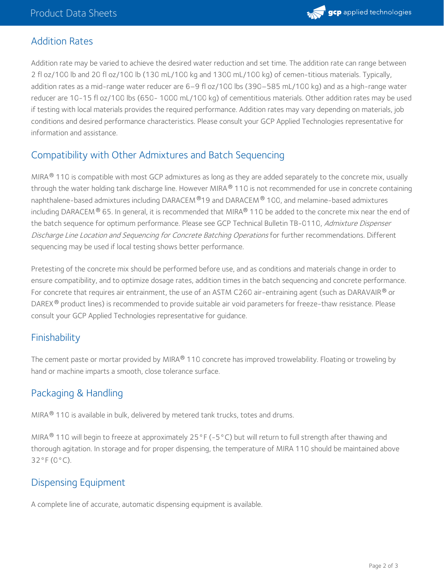

#### Addition Rates

Addition rate may be varied to achieve the desired water reduction and set time. The addition rate can range between 2 fl oz/100 lb and 20 fl oz/100 lb (130 mL/100 kg and 1300 mL/100 kg) of cemen-titious materials. Typically, addition rates as a mid-range water reducer are 6–9 fl oz/100 lbs (390–585 mL/100 kg) and as a high-range water reducer are 10-15 fl oz/100 lbs (650- 1000 mL/100 kg) of cementitious materials. Other addition rates may be used if testing with local materials provides the required performance. Addition rates may vary depending on materials, job conditions and desired performance characteristics. Please consult your GCP Applied Technologies representative for information and assistance.

# Compatibility with Other Admixtures and Batch Sequencing

MIRA® 110 is compatible with most GCP admixtures as long as they are added separately to the concrete mix, usually through the water holding tank discharge line. However MIRA $^\circ$  110 is not recommended for use in concrete containing naphthalene-based admixtures including DARACEM  $^\circ$ 19 and DARACEM  $^\circ$  100, and melamine-based admixtures including DARACEM  $^\circ$  65. In general, it is recommended that MIRA $^\circ$  110 be added to the concrete mix near the end of the batch sequence for optimum performance. Please see GCP Technical Bulletin TB-0110, Admixture Dispenser Discharge Line Location and Sequencing for Concrete Batching Operations for further recommendations. Different sequencing may be used if local testing shows better performance.

Pretesting of the concrete mix should be performed before use, and as conditions and materials change in order to ensure compatibility, and to optimize dosage rates, addition times in the batch sequencing and concrete performance. For concrete that requires air entrainment, the use of an ASTM C260 air-entraining agent (such as DARAVAIR  $^\circledast$  or DAREX® product lines) is recommended to provide suitable air void parameters for freeze-thaw resistance. Please consult your GCP Applied Technologies representative for guidance.

# **Finishability**

The cement paste or mortar provided by MIRA® 110 concrete has improved trowelability. Floating or troweling by hand or machine imparts a smooth, close tolerance surface.

# Packaging & Handling

MIRA $^{\circledR}$  110 is available in bulk, delivered by metered tank trucks, totes and drums.

MIRA $^\circledR$  110 will begin to freeze at approximately 25°F (–5°C) but will return to full strength after thawing and thorough agitation. In storage and for proper dispensing, the temperature of MIRA 110 should be maintained above 32°F (0°C).

# Dispensing Equipment

A complete line of accurate, automatic dispensing equipment is available.